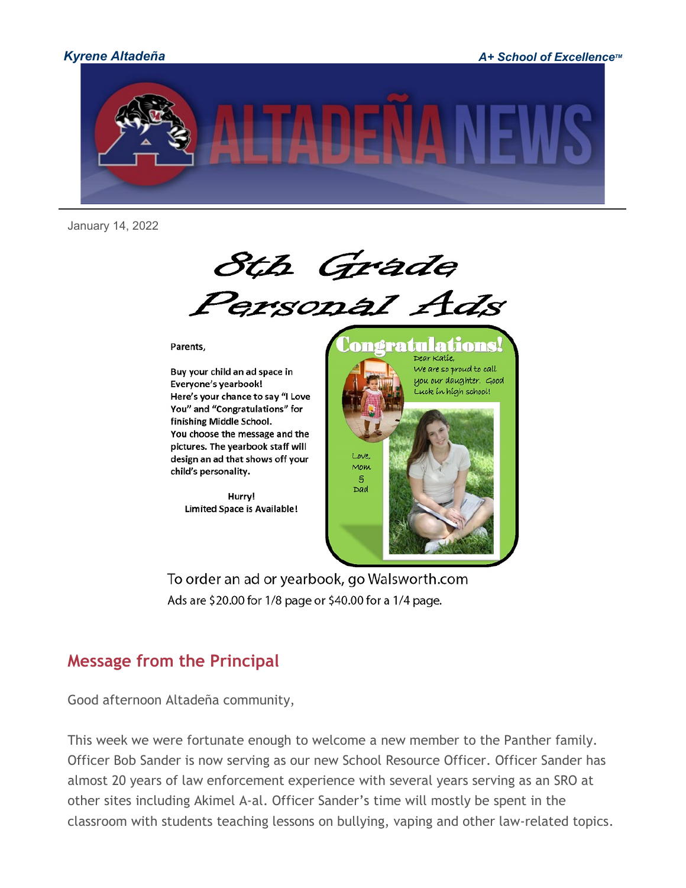

*Kyrene Altadeña A+ School of Excellence™* 



January 14, 2022

8th Grade<br>Personal Ads

Parents,

Buy your child an ad space in Everyone's yearbook! Here's your chance to say "I Love You" and "Congratulations" for finishing Middle School. You choose the message and the pictures. The yearbook staff will design an ad that shows off your child's personality.

> Hurry! **Limited Space is Available!**



To order an ad or yearbook, go Walsworth.com Ads are \$20.00 for 1/8 page or \$40.00 for a 1/4 page.

# **Message from the Principal**

Good afternoon Altadeña community,

This week we were fortunate enough to welcome a new member to the Panther family. Officer Bob Sander is now serving as our new School Resource Officer. Officer Sander has almost 20 years of law enforcement experience with several years serving as an SRO at other sites including Akimel A-al. Officer Sander's time will mostly be spent in the classroom with students teaching lessons on bullying, vaping and other law-related topics.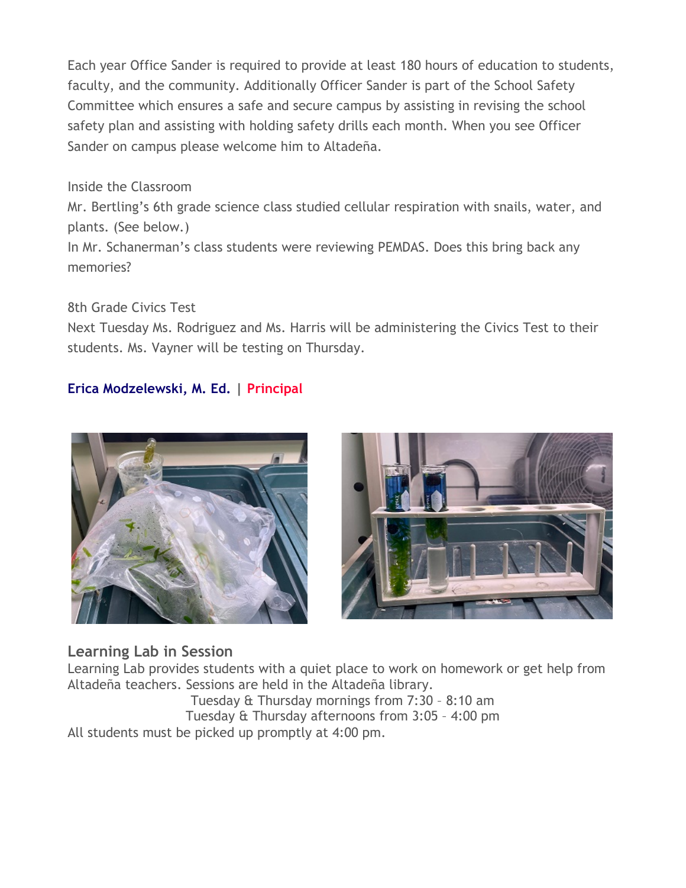Each year Office Sander is required to provide at least 180 hours of education to students, faculty, and the community. Additionally Officer Sander is part of the School Safety Committee which ensures a safe and secure campus by assisting in revising the school safety plan and assisting with holding safety drills each month. When you see Officer Sander on campus please welcome him to Altadeña.

Inside the Classroom

Mr. Bertling's 6th grade science class studied cellular respiration with snails, water, and plants. (See below.)

In Mr. Schanerman's class students were reviewing PEMDAS. Does this bring back any memories?

8th Grade Civics Test

Next Tuesday Ms. Rodriguez and Ms. Harris will be administering the Civics Test to their students. Ms. Vayner will be testing on Thursday.

### **Erica Modzelewski, M. Ed. | Principal**





### **Learning Lab in Session**

Learning Lab provides students with a quiet place to work on homework or get help from Altadeña teachers. Sessions are held in the Altadeña library.

Tuesday & Thursday mornings from 7:30 – 8:10 am Tuesday & Thursday afternoons from 3:05 – 4:00 pm All students must be picked up promptly at 4:00 pm.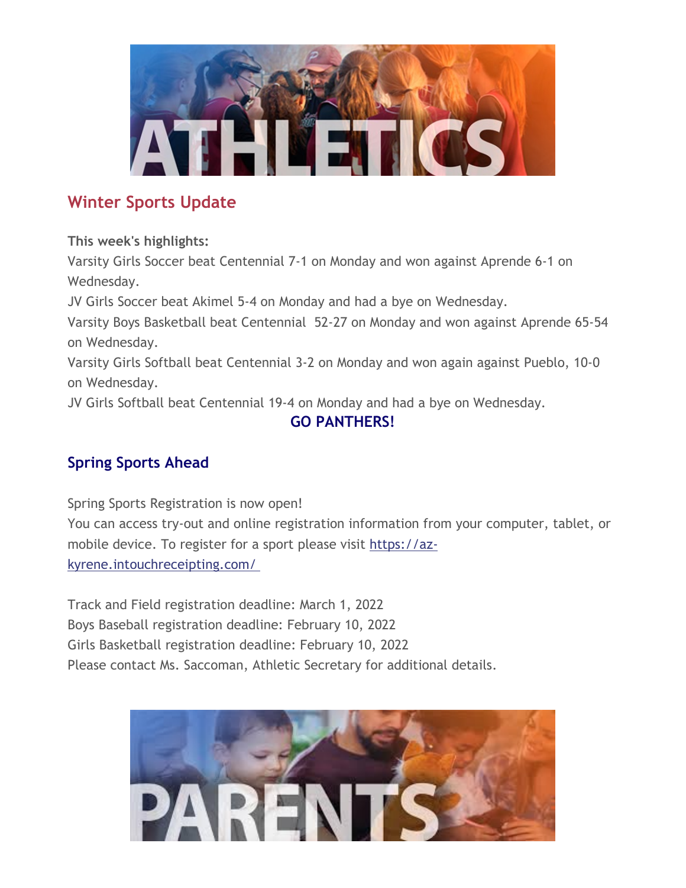

# **Winter Sports Update**

**This week's highlights:**

Varsity Girls Soccer beat Centennial 7-1 on Monday and won against Aprende 6-1 on Wednesday.

JV Girls Soccer beat Akimel 5-4 on Monday and had a bye on Wednesday.

Varsity Boys Basketball beat Centennial 52-27 on Monday and won against Aprende 65-54 on Wednesday.

Varsity Girls Softball beat Centennial 3-2 on Monday and won again against Pueblo, 10-0 on Wednesday.

JV Girls Softball beat Centennial 19-4 on Monday and had a bye on Wednesday.

## **GO PANTHERS!**

# **Spring Sports Ahead**

Spring Sports Registration is now open! You can access try-out and online registration information from your computer, tablet, or mobile device. To register for a sport please visit [https://az](http://track.spe.schoolmessenger.com/f/a/_dhTzREHVs4COmsXzwoviQ%7E%7E/AAAAAQA%7E/RgRjwze8P0QoaHR0cHM6Ly9hei1reXJlbmUuaW50b3VjaHJlY2VpcHRpbmcuY29tL1cHc2Nob29sbUIKYd88BOJhBNnkzlIQc3JhdGhAa3lyZW5lLm9yZ1gEAAAAAQ%7E%7E)[kyrene.intouchreceipting.com/](http://track.spe.schoolmessenger.com/f/a/_dhTzREHVs4COmsXzwoviQ%7E%7E/AAAAAQA%7E/RgRjwze8P0QoaHR0cHM6Ly9hei1reXJlbmUuaW50b3VjaHJlY2VpcHRpbmcuY29tL1cHc2Nob29sbUIKYd88BOJhBNnkzlIQc3JhdGhAa3lyZW5lLm9yZ1gEAAAAAQ%7E%7E)

Track and Field registration deadline: March 1, 2022 Boys Baseball registration deadline: February 10, 2022 Girls Basketball registration deadline: February 10, 2022 Please contact Ms. Saccoman, Athletic Secretary for additional details.

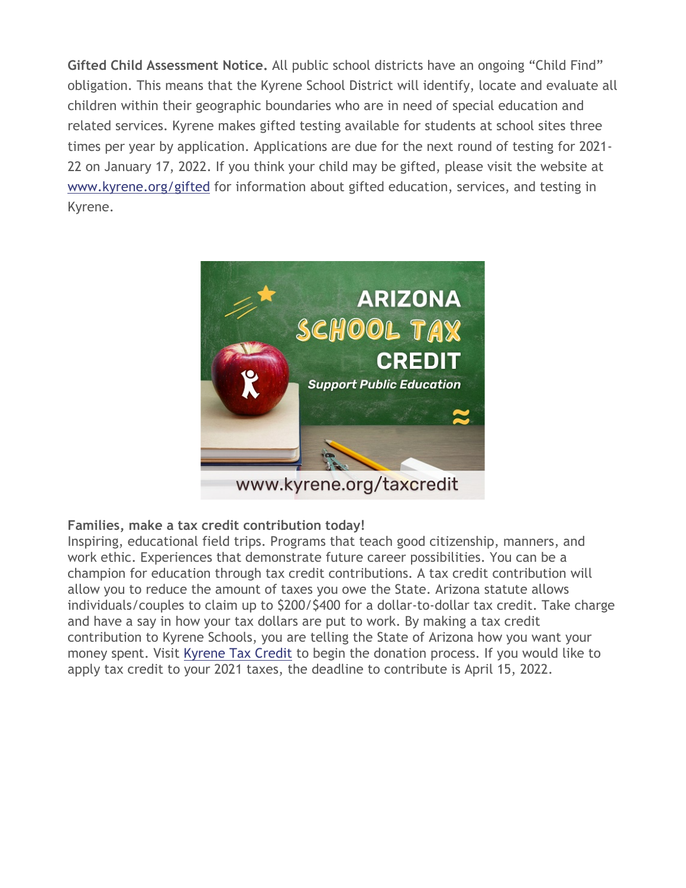**Gifted Child Assessment Notice.** All public school districts have an ongoing "Child Find" obligation. This means that the Kyrene School District will identify, locate and evaluate all children within their geographic boundaries who are in need of special education and related services. Kyrene makes gifted testing available for students at school sites three times per year by application. Applications are due for the next round of testing for 2021- 22 on January 17, 2022. If you think your child may be gifted, please visit the website a[t](http://track.spe.schoolmessenger.com/f/a/-Wl1YTf-1Ef-9mjtw7s2rw%7E%7E/AAAAAQA%7E/RgRjwze8P0QdaHR0cHM6Ly93d3cua3lyZW5lLm9yZy9naWZ0ZWRXB3NjaG9vbG1CCmHfPATiYQTZ5M5SEHNyYXRoQGt5cmVuZS5vcmdYBAAAAAE%7E) [www.kyrene.org/gifted](http://track.spe.schoolmessenger.com/f/a/-Wl1YTf-1Ef-9mjtw7s2rw%7E%7E/AAAAAQA%7E/RgRjwze8P0QdaHR0cHM6Ly93d3cua3lyZW5lLm9yZy9naWZ0ZWRXB3NjaG9vbG1CCmHfPATiYQTZ5M5SEHNyYXRoQGt5cmVuZS5vcmdYBAAAAAE%7E) for information about gifted education, services, and testing in Kyrene.



#### **Families, make a tax credit contribution today!**

Inspiring, educational field trips. Programs that teach good citizenship, manners, and work ethic. Experiences that demonstrate future career possibilities. You can be a champion for education through tax credit contributions. A tax credit contribution will allow you to reduce the amount of taxes you owe the State. Arizona statute allows individuals/couples to claim up to \$200/\$400 for a dollar-to-dollar tax credit. Take charge and have a say in how your tax dollars are put to work. By making a tax credit contribution to Kyrene Schools, you are telling the State of Arizona how you want your money spent. Visit [Kyrene Tax Credit](http://track.spe.schoolmessenger.com/f/a/tD0DcOHgCM2HQPiQn-RGfA%7E%7E/AAAAAQA%7E/RgRjwze8P0QgaHR0cHM6Ly93d3cua3lyZW5lLm9yZy90YXhjcmVkaXRXB3NjaG9vbG1CCmHfPATiYQTZ5M5SEHNyYXRoQGt5cmVuZS5vcmdYBAAAAAE%7E) to begin the donation process. If you would like to apply tax credit to your 2021 taxes, the deadline to contribute is April 15, 2022.